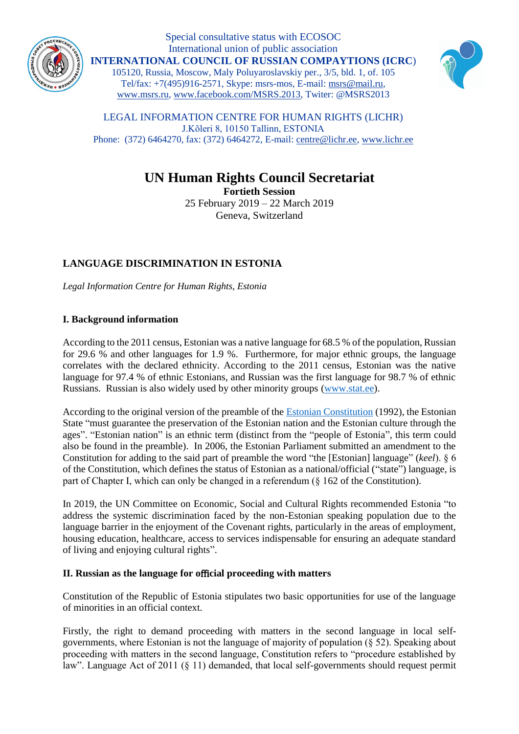

Special consultative status with ECOSOC International union of public association **INTERNATIONAL COUNCIL OF RUSSIAN COMPAYTIONS (ICRC**) 105120, Russia, Moscow, Maly Poluyaroslavskiy per., 3/5, bld. 1, of. 105 Tel/fax: +7(495)916-2571, Skype: msrs-mos, E-mail: [msrs@mail.ru,](mailto:msrs@mail.ru) [www.msrs.ru,](http://www.msrs.ru/) [www.facebook.com/MSRS.2013,](http://www.facebook.com/MSRS.2013) Twiter: @MSRS2013



LEGAL INFORMATION CENTRE FOR HUMAN RIGHTS (LICHR) J.Kõleri 8, 10150 Tallinn, ESTONIA Phone: (372) 6464270, fax: (372) 6464272, E-mail[: centre@lichr.ee,](mailto:centre@lichr.ee) [www.lichr.ee](http://www.lichr.ee/)

# **UN Human Rights Council Secretariat**

**Fortieth Session** 25 February 2019 – 22 March 2019 Geneva, Switzerland

## **LANGUAGE DISCRIMINATION IN ESTONIA**

*Legal Information Centre for Human Rights, Estonia*

## **I. Background information**

According to the 2011 census, Estonian was a native language for 68.5 % of the population, Russian for 29.6 % and other languages for 1.9 %. Furthermore, for major ethnic groups, the language correlates with the declared ethnicity. According to the 2011 census, Estonian was the native language for 97.4 % of ethnic Estonians, and Russian was the first language for 98.7 % of ethnic Russians. Russian is also widely used by other minority groups [\(www.stat.ee\)](http://pub.stat.ee/px-web.2001/I_Databas/Population_census/PHC2011/01Demographic_and_ethno_cultural_characteristics/04Ethnic_nationality_Languages_Dialects/04Ethnic_nationality_Languages_Dialects.asp).

According to the original version of the preamble of the [Estonian Constitution](https://www.riigiteataja.ee/en/eli/521052015001/consolide) (1992), the Estonian State "must guarantee the preservation of the Estonian nation and the Estonian culture through the ages". "Estonian nation" is an ethnic term (distinct from the "people of Estonia", this term could also be found in the preamble). In 2006, the Estonian Parliament submitted an amendment to the Constitution for adding to the said part of preamble the word "the [Estonian] language" (*keel*). § 6 of the Constitution, which defines the status of Estonian as a national/official ("state") language, is part of Chapter I, which can only be changed in a referendum (§ 162 of the Constitution).

In 2019, the UN Committee on Economic, Social and Cultural Rights recommended Estonia "to address the systemic discrimination faced by the non-Estonian speaking population due to the language barrier in the enjoyment of the Covenant rights, particularly in the areas of employment, housing education, healthcare, access to services indispensable for ensuring an adequate standard of living and enjoying cultural rights".

## **II. Russian as the language for o**ffi**cial proceeding with matters**

Constitution of the Republic of Estonia stipulates two basic opportunities for use of the language of minorities in an official context.

Firstly, the right to demand proceeding with matters in the second language in local selfgovernments, where Estonian is not the language of majority of population (§ 52). Speaking about proceeding with matters in the second language, Constitution refers to "procedure established by law". Language Act of 2011 (§ 11) demanded, that local self-governments should request permit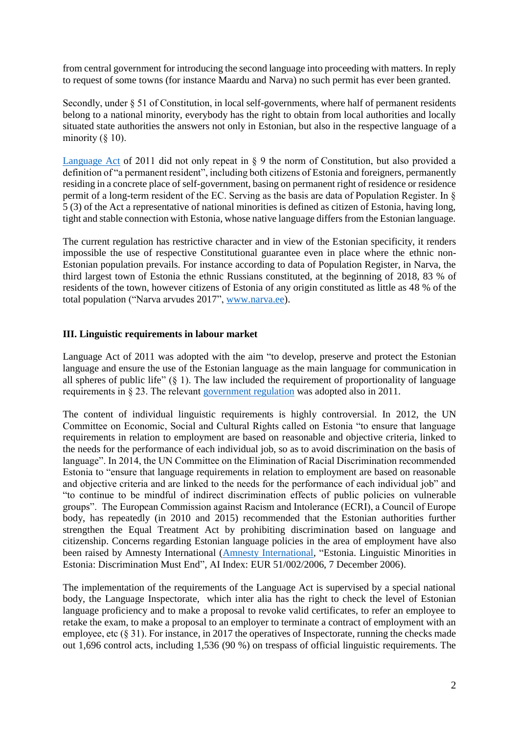from central government for introducing the second language into proceeding with matters. In reply to request of some towns (for instance Maardu and Narva) no such permit has ever been granted.

Secondly, under  $\S 51$  of Constitution, in local self-governments, where half of permanent residents belong to a national minority, everybody has the right to obtain from local authorities and locally situated state authorities the answers not only in Estonian, but also in the respective language of a minority  $(\S 10)$ .

[Language Act](https://www.riigiteataja.ee/en/eli/512012016001/consolide) of 2011 did not only repeat in § 9 the norm of Constitution, but also provided a definition of "a permanent resident", including both citizens of Estonia and foreigners, permanently residing in a concrete place of self-government, basing on permanent right of residence or residence permit of a long-term resident of the EC. Serving as the basis are data of Population Register. In § 5 (3) of the Act a representative of national minorities is defined as citizen of Estonia, having long, tight and stable connection with Estonia, whose native language differs from the Estonian language.

The current regulation has restrictive character and in view of the Estonian specificity, it renders impossible the use of respective Constitutional guarantee even in place where the ethnic non-Estonian population prevails. For instance according to data of Population Register, in Narva, the third largest town of Estonia the ethnic Russians constituted, at the beginning of 2018, 83 % of residents of the town, however citizens of Estonia of any origin constituted as little as 48 % of the total population ("Narva arvudes 2017", [www.narva.ee\)](http://www.narva.ee/ee/vasakpoolsed/narva_arvudes/page:3295).

### **III. Linguistic requirements in labour market**

Language Act of 2011 was adopted with the aim "to develop, preserve and protect the Estonian language and ensure the use of the Estonian language as the main language for communication in all spheres of public life"  $(\S 1)$ . The law included the requirement of proportionality of language requirements in § 23. The relevant [government regulation](https://www.riigiteataja.ee/akt/114022018010) was adopted also in 2011.

The content of individual linguistic requirements is highly controversial. In 2012, the UN Committee on Economic, Social and Cultural Rights called on Estonia "to ensure that language requirements in relation to employment are based on reasonable and objective criteria, linked to the needs for the performance of each individual job, so as to avoid discrimination on the basis of language". In 2014, the UN Committee on the Elimination of Racial Discrimination recommended Estonia to "ensure that language requirements in relation to employment are based on reasonable and objective criteria and are linked to the needs for the performance of each individual job" and "to continue to be mindful of indirect discrimination effects of public policies on vulnerable groups". The European Commission against Racism and Intolerance (ECRI), a Council of Europe body, has repeatedly (in 2010 and 2015) recommended that the Estonian authorities further strengthen the Equal Treatment Act by prohibiting discrimination based on language and citizenship. Concerns regarding Estonian language policies in the area of employment have also been raised by Amnesty International [\(Amnesty International,](https://www.amnesty.org/en/documents/EUR51/002/2006/en/) "Estonia. Linguistic Minorities in Estonia: Discrimination Must End", AI Index: EUR 51/002/2006, 7 December 2006).

The implementation of the requirements of the Language Act is supervised by a special national body, the Language Inspectorate, which inter alia has the right to check the level of Estonian language proficiency and to make a proposal to revoke valid certificates, to refer an employee to retake the exam, to make a proposal to an employer to terminate a contract of employment with an employee, etc (§ 31). For instance, in 2017 the operatives of Inspectorate, running the checks made out 1,696 control acts, including 1,536 (90 %) on trespass of official linguistic requirements. The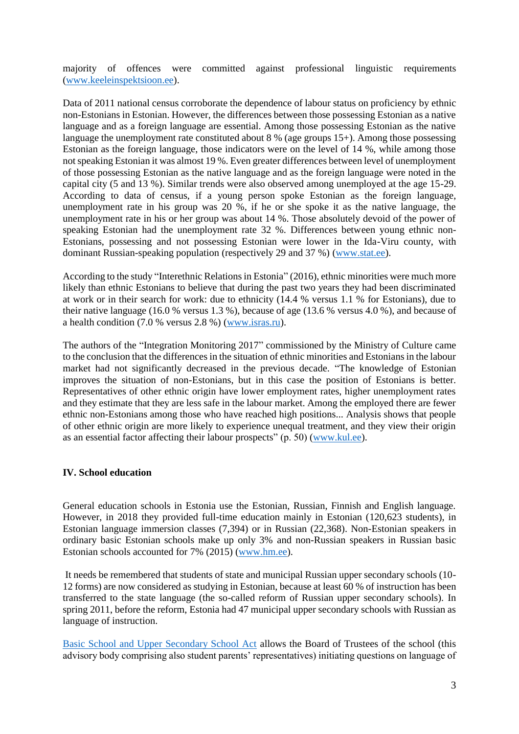majority of offences were committed against professional linguistic requirements [\(www.keeleinspektsioon.ee\)](https://www.keeleinspektsioon.ee/sites/default/files/keeleinspektsiooni_2017._aasta_tegevuse_aruanne.pdf).

Data of 2011 national census corroborate the dependence of labour status on proficiency by ethnic non-Estonians in Estonian. However, the differences between those possessing Estonian as a native language and as a foreign language are essential. Among those possessing Estonian as the native language the unemployment rate constituted about 8 % (age groups 15+). Among those possessing Estonian as the foreign language, those indicators were on the level of 14 %, while among those not speaking Estonian it was almost 19 %. Even greater differences between level of unemployment of those possessing Estonian as the native language and as the foreign language were noted in the capital city (5 and 13 %). Similar trends were also observed among unemployed at the age 15-29. According to data of census, if a young person spoke Estonian as the foreign language, unemployment rate in his group was 20 %, if he or she spoke it as the native language, the unemployment rate in his or her group was about 14 %. Those absolutely devoid of the power of speaking Estonian had the unemployment rate 32 %. Differences between young ethnic non-Estonians, possessing and not possessing Estonian were lower in the Ida-Viru county, with dominant Russian-speaking population (respectively 29 and 37 %) [\(www.stat.ee\)](http://pub.stat.ee/px-web.2001/I_Databas/Population_census/PHC2011/03Economic_activity_of_population/02Economic_activity_sources_of_subsistence/02Economic_activity_sources_of_subsistence.asp).

According to the study "Interethnic Relations in Estonia" (2016), ethnic minorities were much more likely than ethnic Estonians to believe that during the past two years they had been discriminated at work or in their search for work: due to ethnicity (14.4 % versus 1.1 % for Estonians), due to their native language (16.0 % versus 1.3 %), because of age (13.6 % versus 4.0 %), and because of a health condition (7.0 % versus 2.8 %) [\(www.isras.ru\)](http://www.isras.ru/index.php?page_id=2624&jn=socis&jn=socis&jid=7539).

The authors of the "Integration Monitoring 2017" commissioned by the Ministry of Culture came to the conclusion that the differences in the situation of ethnic minorities and Estonians in the labour market had not significantly decreased in the previous decade. "The knowledge of Estonian improves the situation of non-Estonians, but in this case the position of Estonians is better. Representatives of other ethnic origin have lower employment rates, higher unemployment rates and they estimate that they are less safe in the labour market. Among the employed there are fewer ethnic non-Estonians among those who have reached high positions... Analysis shows that people of other ethnic origin are more likely to experience unequal treatment, and they view their origin as an essential factor affecting their labour prospects" (p. 50) [\(www.kul.ee\)](https://www.kul.ee/sites/kulminn/files/eim2017.pdf).

### **IV. School education**

General education schools in Estonia use the Estonian, Russian, Finnish and English language. However, in 2018 they provided full-time education mainly in Estonian (120,623 students), in Estonian language immersion classes (7,394) or in Russian (22,368). Non-Estonian speakers in ordinary basic Estonian schools make up only 3% and non-Russian speakers in Russian basic Estonian schools accounted for 7% (2015) [\(www.hm.ee\)](https://www.hm.ee/et/tegevused/uuringud-ja-statistika-0).

It needs be remembered that students of state and municipal Russian upper secondary schools (10- 12 forms) are now considered as studying in Estonian, because at least 60 % of instruction has been transferred to the state language (the so-called reform of Russian upper secondary schools). In spring 2011, before the reform, Estonia had 47 municipal upper secondary schools with Russian as language of instruction.

[Basic School and Upper Secondary School Act](https://www.riigiteataja.ee/en/eli/501022018002/consolide) allows the Board of Trustees of the school (this advisory body comprising also student parents' representatives) initiating questions on language of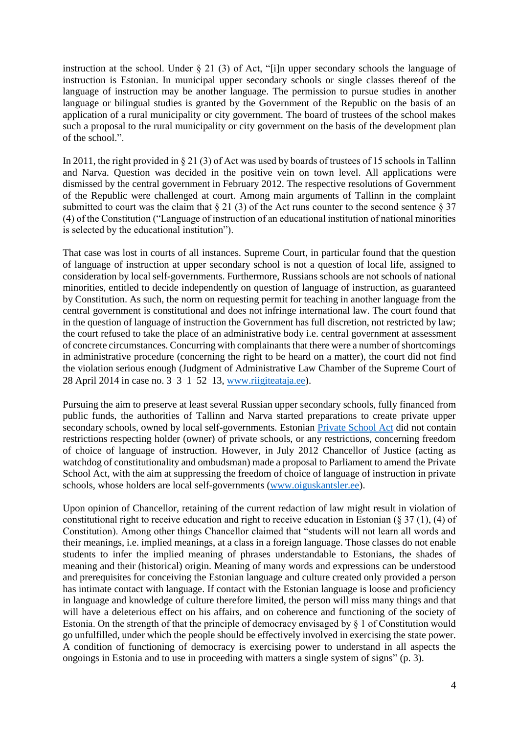instruction at the school. Under § 21 (3) of Act, "[i]n upper secondary schools the language of instruction is Estonian. In municipal upper secondary schools or single classes thereof of the language of instruction may be another language. The permission to pursue studies in another language or bilingual studies is granted by the Government of the Republic on the basis of an application of a rural municipality or city government. The board of trustees of the school makes such a proposal to the rural municipality or city government on the basis of the development plan of the school.".

In 2011, the right provided in § 21 (3) of Act was used by boards of trustees of 15 schools in Tallinn and Narva. Question was decided in the positive vein on town level. All applications were dismissed by the central government in February 2012. The respective resolutions of Government of the Republic were challenged at court. Among main arguments of Tallinn in the complaint submitted to court was the claim that  $\S 21$  (3) of the Act runs counter to the second sentence  $\S 37$ (4) of the Constitution ("Language of instruction of an educational institution of national minorities is selected by the educational institution").

That case was lost in courts of all instances. Supreme Court, in particular found that the question of language of instruction at upper secondary school is not a question of local life, assigned to consideration by local self-governments. Furthermore, Russians schools are not schools of national minorities, entitled to decide independently on question of language of instruction, as guaranteed by Constitution. As such, the norm on requesting permit for teaching in another language from the central government is constitutional and does not infringe international law. The court found that in the question of language of instruction the Government has full discretion, not restricted by law; the court refused to take the place of an administrative body i.e. central government at assessment of concrete circumstances. Concurring with complainants that there were a number of shortcomings in administrative procedure (concerning the right to be heard on a matter), the court did not find the violation serious enough (Judgment of Administrative Law Chamber of the Supreme Court of 28 April 2014 in case no. 3‑3‑1‑52‑13, [www.riigiteataja.ee\)](https://www.riigikohus.ee/et/lahendid?asjaNr=3-3-1-52-13).

Pursuing the aim to preserve at least several Russian upper secondary schools, fully financed from public funds, the authorities of Tallinn and Narva started preparations to create private upper secondary schools, owned by local self-governments. Estonian [Private School Act](https://www.riigiteataja.ee/en/eli/511012019005/consolide) did not contain restrictions respecting holder (owner) of private schools, or any restrictions, concerning freedom of choice of language of instruction. However, in July 2012 Chancellor of Justice (acting as watchdog of constitutionality and ombudsman) made a proposal to Parliament to amend the Private School Act, with the aim at suppressing the freedom of choice of language of instruction in private schools, whose holders are local self-governments [\(www.oiguskantsler.ee\)](https://www.oiguskantsler.ee/sites/default/files/field_document2/6iguskantsleri_ettepanek_nr_16_riigikogule_eestikeelse_hariduse_piisav_kattesaadavus.pdf).

Upon opinion of Chancellor, retaining of the current redaction of law might result in violation of constitutional right to receive education and right to receive education in Estonian (§ 37 (1), (4) of Constitution). Among other things Chancellor claimed that "students will not learn all words and their meanings, i.e. implied meanings, at a class in a foreign language. Those classes do not enable students to infer the implied meaning of phrases understandable to Estonians, the shades of meaning and their (historical) origin. Meaning of many words and expressions can be understood and prerequisites for conceiving the Estonian language and culture created only provided a person has intimate contact with language. If contact with the Estonian language is loose and proficiency in language and knowledge of culture therefore limited, the person will miss many things and that will have a deleterious effect on his affairs, and on coherence and functioning of the society of Estonia. On the strength of that the principle of democracy envisaged by § 1 of Constitution would go unfulfilled, under which the people should be effectively involved in exercising the state power. A condition of functioning of democracy is exercising power to understand in all aspects the ongoings in Estonia and to use in proceeding with matters a single system of signs" (p. 3).